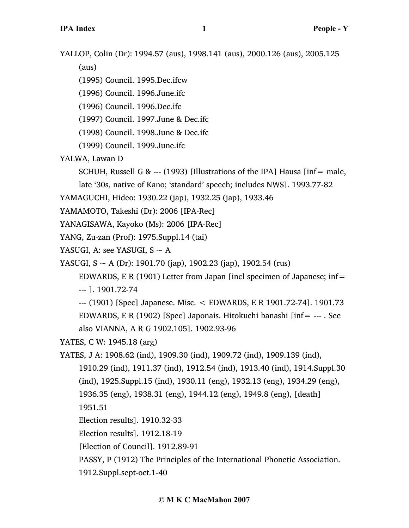YALLOP, Colin (Dr): 1994.57 (aus), 1998.141 (aus), 2000.126 (aus), 2005.125

(aus)

(1995) Council. 1995.Dec.ifcw

(1996) Council. 1996.June.ifc

(1996) Council. 1996.Dec.ifc

(1997) Council. 1997.June & Dec.ifc

(1998) Council. 1998.June & Dec.ifc

(1999) Council. 1999.June.ifc

YALWA, Lawan D

SCHUH, Russell G & --- (1993) [Illustrations of the IPA] Hausa [inf= male,

late '30s, native of Kano; 'standard' speech; includes NWS]. 1993.77-82

YAMAGUCHI, Hideo: 1930.22 (jap), 1932.25 (jap), 1933.46

YAMAMOTO, Takeshi (Dr): 2006 [IPA-Rec]

YANAGISAWA, Kayoko (Ms): 2006 [IPA-Rec]

YANG, Zu-zan (Prof): 1975.Suppl.14 (tai)

YASUGI, A: see YASUGI,  $S \sim A$ 

YASUGI,  $S \sim A$  (Dr): 1901.70 (jap), 1902.23 (jap), 1902.54 (rus)

EDWARDS, E R (1901) Letter from Japan [incl specimen of Japanese; inf= --- ]. 1901.72-74

--- (1901) [Spec] Japanese. Misc. < EDWARDS, E R 1901.72-74]. 1901.73 EDWARDS, E R (1902) [Spec] Japonais. Hitokuchi banashi [inf= --- . See also VIANNA, A R G 1902.105]. 1902.93-96

YATES, C W: 1945.18 (arg)

YATES, J A: 1908.62 (ind), 1909.30 (ind), 1909.72 (ind), 1909.139 (ind),

1910.29 (ind), 1911.37 (ind), 1912.54 (ind), 1913.40 (ind), 1914.Suppl.30

(ind), 1925.Suppl.15 (ind), 1930.11 (eng), 1932.13 (eng), 1934.29 (eng),

1936.35 (eng), 1938.31 (eng), 1944.12 (eng), 1949.8 (eng), [death]

1951.51

```
Election results]. 1910.32-33
```
Election results]. 1912.18-19

[Election of Council]. 1912.89-91

PASSY, P (1912) The Principles of the International Phonetic Association.

1912.Suppl.sept-oct.1-40

## **© M K C MacMahon 2007**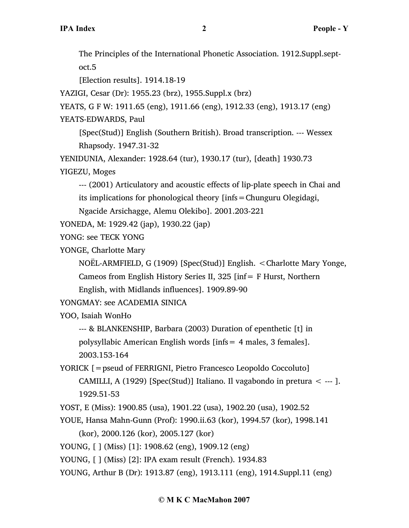The Principles of the International Phonetic Association. 1912.Suppl.septoct.5

[Election results]. 1914.18-19

YAZIGI, Cesar (Dr): 1955.23 (brz), 1955.Suppl.x (brz)

YEATS, G F W: 1911.65 (eng), 1911.66 (eng), 1912.33 (eng), 1913.17 (eng) YEATS-EDWARDS, Paul

[Spec(Stud)] English (Southern British). Broad transcription. --- Wessex Rhapsody. 1947.31-32

YENIDUNIA, Alexander: 1928.64 (tur), 1930.17 (tur), [death] 1930.73

YIGEZU, Moges

--- (2001) Articulatory and acoustic effects of lip-plate speech in Chai and its implications for phonological theory [infs=Chunguru Olegidagi,

Ngacide Arsichagge, Alemu Olekibo]. 2001.203-221

YONEDA, M: 1929.42 (jap), 1930.22 (jap)

YONG: see TECK YONG

YONGE, Charlotte Mary

NOËL-ARMFIELD, G (1909) [Spec(Stud)] English. <Charlotte Mary Yonge,

Cameos from English History Series II, 325 [inf= F Hurst, Northern

English, with Midlands influences]. 1909.89-90

YONGMAY: see ACADEMIA SINICA

YOO, Isaiah WonHo

--- & BLANKENSHIP, Barbara (2003) Duration of epenthetic [t] in

polysyllabic American English words [infs= 4 males, 3 females].

2003.153-164

YORICK [=pseud of FERRIGNI, Pietro Francesco Leopoldo Coccoluto] CAMILLI, A (1929) [Spec(Stud)] Italiano. Il vagabondo in pretura < --- ]. 1929.51-53

YOST, E (Miss): 1900.85 (usa), 1901.22 (usa), 1902.20 (usa), 1902.52

YOUE, Hansa Mahn-Gunn (Prof): 1990.ii.63 (kor), 1994.57 (kor), 1998.141 (kor), 2000.126 (kor), 2005.127 (kor)

YOUNG, [ ] (Miss) [1]: 1908.62 (eng), 1909.12 (eng)

YOUNG, [ ] (Miss) [2]: IPA exam result (French). 1934.83

YOUNG, Arthur B (Dr): 1913.87 (eng), 1913.111 (eng), 1914.Suppl.11 (eng)

## **© M K C MacMahon 2007**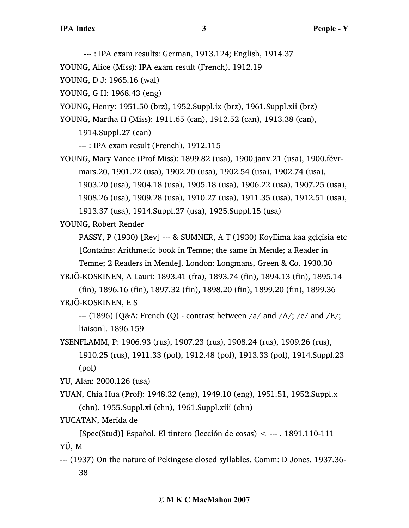--- : IPA exam results: German, 1913.124; English, 1914.37

YOUNG, Alice (Miss): IPA exam result (French). 1912.19

YOUNG, D J: 1965.16 (wal)

YOUNG, G H: 1968.43 (eng)

YOUNG, Henry: 1951.50 (brz), 1952.Suppl.ix (brz), 1961.Suppl.xii (brz)

YOUNG, Martha H (Miss): 1911.65 (can), 1912.52 (can), 1913.38 (can),

1914.Suppl.27 (can)

--- : IPA exam result (French). 1912.115

YOUNG, Mary Vance (Prof Miss): 1899.82 (usa), 1900.janv.21 (usa), 1900.févrmars.20, 1901.22 (usa), 1902.20 (usa), 1902.54 (usa), 1902.74 (usa), 1903.20 (usa), 1904.18 (usa), 1905.18 (usa), 1906.22 (usa), 1907.25 (usa),

1908.26 (usa), 1909.28 (usa), 1910.27 (usa), 1911.35 (usa), 1912.51 (usa), 1913.37 (usa), 1914.Suppl.27 (usa), 1925.Suppl.15 (usa)

YOUNG, Robert Render

PASSY, P (1930) [Rev] --- & SUMNER, A T (1930) KoyEima kaa gçlçisia etc [Contains: Arithmetic book in Temne; the same in Mende; a Reader in

Temne; 2 Readers in Mende]. London: Longmans, Green & Co. 1930.30 YRJÖ-KOSKINEN, A Lauri: 1893.41 (fra), 1893.74 (fin), 1894.13 (fin), 1895.14

(fin), 1896.16 (fin), 1897.32 (fin), 1898.20 (fin), 1899.20 (fin), 1899.36 YRJÖ-KOSKINEN, E S

--- (1896) [Q&A: French (Q) - contrast between  $/a$  and  $/A$ ; /e/ and  $/E$ ; liaison]. 1896.159

YSENFLAMM, P: 1906.93 (rus), 1907.23 (rus), 1908.24 (rus), 1909.26 (rus), 1910.25 (rus), 1911.33 (pol), 1912.48 (pol), 1913.33 (pol), 1914.Suppl.23 (pol)

YU, Alan: 2000.126 (usa)

YUAN, Chia Hua (Prof): 1948.32 (eng), 1949.10 (eng), 1951.51, 1952.Suppl.x (chn), 1955.Suppl.xi (chn), 1961.Suppl.xiii (chn)

YUCATAN, Merida de

[Spec(Stud)] Español. El tintero (lección de cosas) < --- . 1891.110-111 YÜ, M

--- (1937) On the nature of Pekingese closed syllables. Comm: D Jones. 1937.36- 38